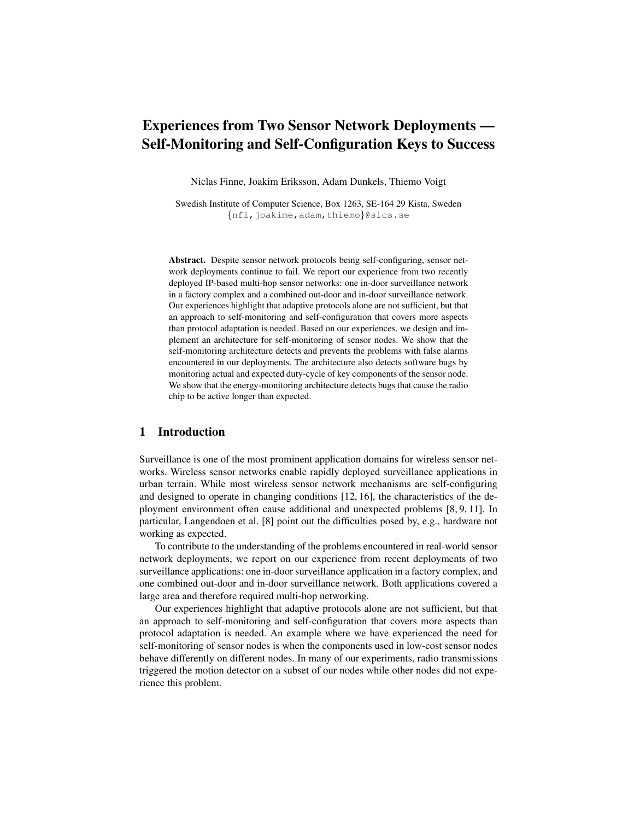# Experiences from Two Sensor Network Deployments — Self-Monitoring and Self-Configuration Keys to Success

Niclas Finne, Joakim Eriksson, Adam Dunkels, Thiemo Voigt

Swedish Institute of Computer Science, Box 1263, SE-164 29 Kista, Sweden {nfi,joakime,adam,thiemo}@sics.se

Abstract. Despite sensor network protocols being self-configuring, sensor network deployments continue to fail. We report our experience from two recently deployed IP-based multi-hop sensor networks: one in-door surveillance network in a factory complex and a combined out-door and in-door surveillance network. Our experiences highlight that adaptive protocols alone are not sufficient, but that an approach to self-monitoring and self-configuration that covers more aspects than protocol adaptation is needed. Based on our experiences, we design and implement an architecture for self-monitoring of sensor nodes. We show that the self-monitoring architecture detects and prevents the problems with false alarms encountered in our deployments. The architecture also detects software bugs by monitoring actual and expected duty-cycle of key components of the sensor node. We show that the energy-monitoring architecture detects bugs that cause the radio chip to be active longer than expected.

# 1 Introduction

Surveillance is one of the most prominent application domains for wireless sensor networks. Wireless sensor networks enable rapidly deployed surveillance applications in urban terrain. While most wireless sensor network mechanisms are self-configuring and designed to operate in changing conditions [12, 16], the characteristics of the deployment environment often cause additional and unexpected problems [8, 9, 11]. In particular, Langendoen et al. [8] point out the difficulties posed by, e.g., hardware not working as expected.

To contribute to the understanding of the problems encountered in real-world sensor network deployments, we report on our experience from recent deployments of two surveillance applications: one in-door surveillance application in a factory complex, and one combined out-door and in-door surveillance network. Both applications covered a large area and therefore required multi-hop networking.

Our experiences highlight that adaptive protocols alone are not sufficient, but that an approach to self-monitoring and self-configuration that covers more aspects than protocol adaptation is needed. An example where we have experienced the need for self-monitoring of sensor nodes is when the components used in low-cost sensor nodes behave differently on different nodes. In many of our experiments, radio transmissions triggered the motion detector on a subset of our nodes while other nodes did not experience this problem.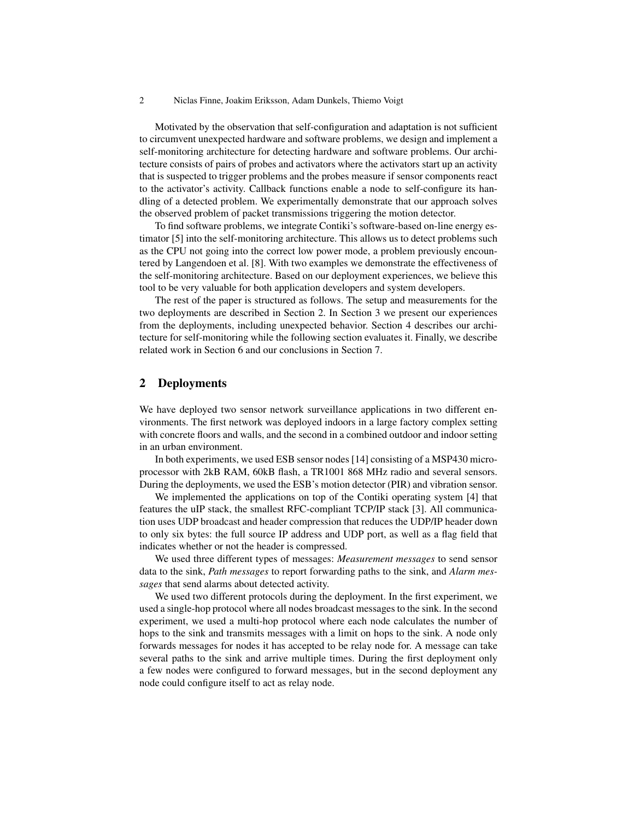#### 2 Niclas Finne, Joakim Eriksson, Adam Dunkels, Thiemo Voigt

Motivated by the observation that self-configuration and adaptation is not sufficient to circumvent unexpected hardware and software problems, we design and implement a self-monitoring architecture for detecting hardware and software problems. Our architecture consists of pairs of probes and activators where the activators start up an activity that is suspected to trigger problems and the probes measure if sensor components react to the activator's activity. Callback functions enable a node to self-configure its handling of a detected problem. We experimentally demonstrate that our approach solves the observed problem of packet transmissions triggering the motion detector.

To find software problems, we integrate Contiki's software-based on-line energy estimator [5] into the self-monitoring architecture. This allows us to detect problems such as the CPU not going into the correct low power mode, a problem previously encountered by Langendoen et al. [8]. With two examples we demonstrate the effectiveness of the self-monitoring architecture. Based on our deployment experiences, we believe this tool to be very valuable for both application developers and system developers.

The rest of the paper is structured as follows. The setup and measurements for the two deployments are described in Section 2. In Section 3 we present our experiences from the deployments, including unexpected behavior. Section 4 describes our architecture for self-monitoring while the following section evaluates it. Finally, we describe related work in Section 6 and our conclusions in Section 7.

### 2 Deployments

We have deployed two sensor network surveillance applications in two different environments. The first network was deployed indoors in a large factory complex setting with concrete floors and walls, and the second in a combined outdoor and indoor setting in an urban environment.

In both experiments, we used ESB sensor nodes [14] consisting of a MSP430 microprocessor with 2kB RAM, 60kB flash, a TR1001 868 MHz radio and several sensors. During the deployments, we used the ESB's motion detector (PIR) and vibration sensor.

We implemented the applications on top of the Contiki operating system [4] that features the uIP stack, the smallest RFC-compliant TCP/IP stack [3]. All communication uses UDP broadcast and header compression that reduces the UDP/IP header down to only six bytes: the full source IP address and UDP port, as well as a flag field that indicates whether or not the header is compressed.

We used three different types of messages: *Measurement messages* to send sensor data to the sink, *Path messages* to report forwarding paths to the sink, and *Alarm messages* that send alarms about detected activity.

We used two different protocols during the deployment. In the first experiment, we used a single-hop protocol where all nodes broadcast messages to the sink. In the second experiment, we used a multi-hop protocol where each node calculates the number of hops to the sink and transmits messages with a limit on hops to the sink. A node only forwards messages for nodes it has accepted to be relay node for. A message can take several paths to the sink and arrive multiple times. During the first deployment only a few nodes were configured to forward messages, but in the second deployment any node could configure itself to act as relay node.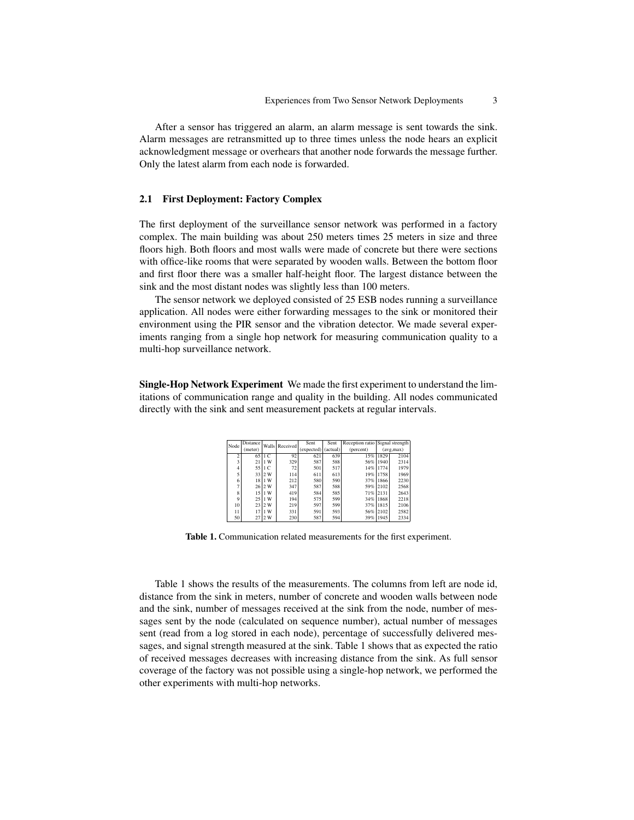After a sensor has triggered an alarm, an alarm message is sent towards the sink. Alarm messages are retransmitted up to three times unless the node hears an explicit acknowledgment message or overhears that another node forwards the message further. Only the latest alarm from each node is forwarded.

### 2.1 First Deployment: Factory Complex

The first deployment of the surveillance sensor network was performed in a factory complex. The main building was about 250 meters times 25 meters in size and three floors high. Both floors and most walls were made of concrete but there were sections with office-like rooms that were separated by wooden walls. Between the bottom floor and first floor there was a smaller half-height floor. The largest distance between the sink and the most distant nodes was slightly less than 100 meters.

The sensor network we deployed consisted of 25 ESB nodes running a surveillance application. All nodes were either forwarding messages to the sink or monitored their environment using the PIR sensor and the vibration detector. We made several experiments ranging from a single hop network for measuring communication quality to a multi-hop surveillance network.

Single-Hop Network Experiment We made the first experiment to understand the limitations of communication range and quality in the building. All nodes communicated directly with the sink and sent measurement packets at regular intervals.

| Node           | Distance |                | Walls Received | Sent       | Sent     | Reception ratio Signal strength |           |      |
|----------------|----------|----------------|----------------|------------|----------|---------------------------------|-----------|------|
|                | (meter)  |                |                | (expected) | (actual) | (percent)                       | (avg,max) |      |
| $\overline{2}$ | 65       | 1 <sup>C</sup> | 92             | 621        | 639      | 15%                             | 1829      | 2104 |
| 3              | 21       | W              | 329            | 587        | 588      | 56%                             | 1940      | 2314 |
| 4              | 55       | 1 <sup>C</sup> | 72             | 501        | 517      | 14%                             | 1774      | 1979 |
| 5              | 33       | 2W             | 114            | 611        | 613      | 19%                             | 1758      | 1969 |
| 6              | 18       | W              | 212            | 580        | 590      | 37%                             | 1866      | 2230 |
| 7              | 26       | 2W             | 347            | 587        | 588      | 59%                             | 2102      | 2568 |
| 8              | 15       | w              | 419            | 584        | 585      | 71%                             | 2131      | 2643 |
| 9              | 25       | W              | 194            | 575        | 599      | 34%                             | 1868      | 2218 |
| 10             | 23       | 2W             | 219            | 597        | 599      | 37%                             | 1815      | 2106 |
| 11             | 17       | W              | 331            | 591        | 593      |                                 | 56% 2102  | 2582 |
| 50             | 27       | 2 W            | 230            | 587        | 594      | 39%                             | 1945      | 2334 |

Table 1. Communication related measurements for the first experiment.

Table 1 shows the results of the measurements. The columns from left are node id, distance from the sink in meters, number of concrete and wooden walls between node and the sink, number of messages received at the sink from the node, number of messages sent by the node (calculated on sequence number), actual number of messages sent (read from a log stored in each node), percentage of successfully delivered messages, and signal strength measured at the sink. Table 1 shows that as expected the ratio of received messages decreases with increasing distance from the sink. As full sensor coverage of the factory was not possible using a single-hop network, we performed the other experiments with multi-hop networks.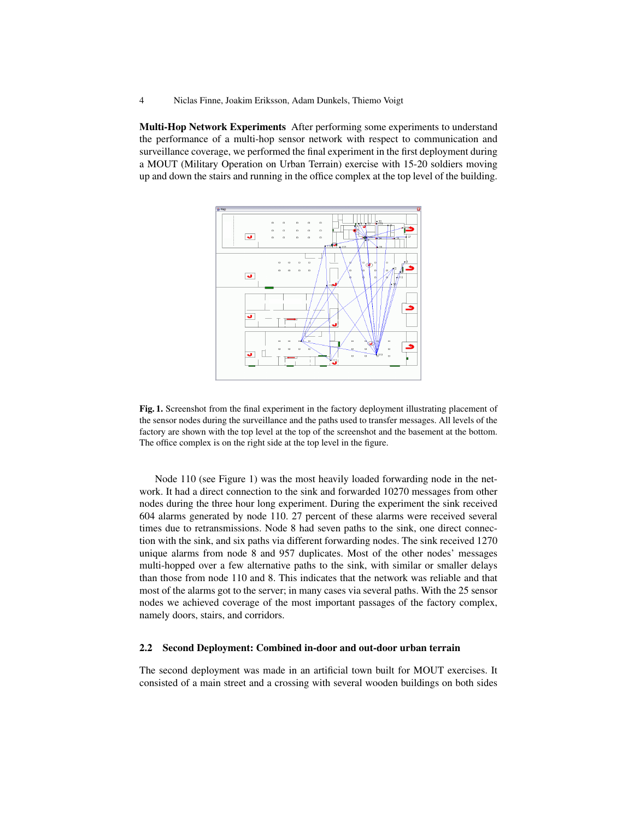4 Niclas Finne, Joakim Eriksson, Adam Dunkels, Thiemo Voigt

Multi-Hop Network Experiments After performing some experiments to understand the performance of a multi-hop sensor network with respect to communication and surveillance coverage, we performed the final experiment in the first deployment during a MOUT (Military Operation on Urban Terrain) exercise with 15-20 soldiers moving up and down the stairs and running in the office complex at the top level of the building.



Fig. 1. Screenshot from the final experiment in the factory deployment illustrating placement of the sensor nodes during the surveillance and the paths used to transfer messages. All levels of the factory are shown with the top level at the top of the screenshot and the basement at the bottom. The office complex is on the right side at the top level in the figure.

Node 110 (see Figure 1) was the most heavily loaded forwarding node in the network. It had a direct connection to the sink and forwarded 10270 messages from other nodes during the three hour long experiment. During the experiment the sink received 604 alarms generated by node 110. 27 percent of these alarms were received several times due to retransmissions. Node 8 had seven paths to the sink, one direct connection with the sink, and six paths via different forwarding nodes. The sink received 1270 unique alarms from node 8 and 957 duplicates. Most of the other nodes' messages multi-hopped over a few alternative paths to the sink, with similar or smaller delays than those from node 110 and 8. This indicates that the network was reliable and that most of the alarms got to the server; in many cases via several paths. With the 25 sensor nodes we achieved coverage of the most important passages of the factory complex, namely doors, stairs, and corridors.

### 2.2 Second Deployment: Combined in-door and out-door urban terrain

The second deployment was made in an artificial town built for MOUT exercises. It consisted of a main street and a crossing with several wooden buildings on both sides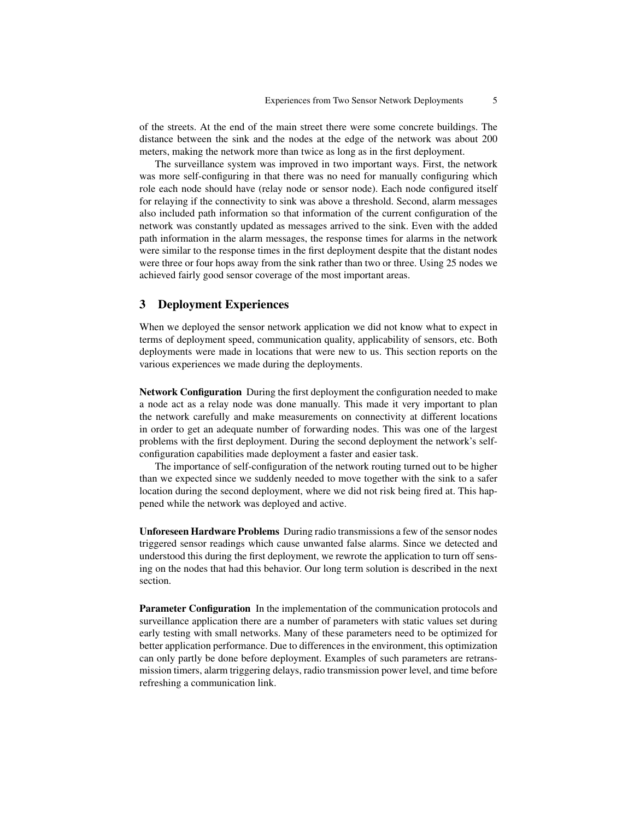of the streets. At the end of the main street there were some concrete buildings. The distance between the sink and the nodes at the edge of the network was about 200 meters, making the network more than twice as long as in the first deployment.

The surveillance system was improved in two important ways. First, the network was more self-configuring in that there was no need for manually configuring which role each node should have (relay node or sensor node). Each node configured itself for relaying if the connectivity to sink was above a threshold. Second, alarm messages also included path information so that information of the current configuration of the network was constantly updated as messages arrived to the sink. Even with the added path information in the alarm messages, the response times for alarms in the network were similar to the response times in the first deployment despite that the distant nodes were three or four hops away from the sink rather than two or three. Using 25 nodes we achieved fairly good sensor coverage of the most important areas.

### 3 Deployment Experiences

When we deployed the sensor network application we did not know what to expect in terms of deployment speed, communication quality, applicability of sensors, etc. Both deployments were made in locations that were new to us. This section reports on the various experiences we made during the deployments.

Network Configuration During the first deployment the configuration needed to make a node act as a relay node was done manually. This made it very important to plan the network carefully and make measurements on connectivity at different locations in order to get an adequate number of forwarding nodes. This was one of the largest problems with the first deployment. During the second deployment the network's selfconfiguration capabilities made deployment a faster and easier task.

The importance of self-configuration of the network routing turned out to be higher than we expected since we suddenly needed to move together with the sink to a safer location during the second deployment, where we did not risk being fired at. This happened while the network was deployed and active.

Unforeseen Hardware Problems During radio transmissions a few of the sensor nodes triggered sensor readings which cause unwanted false alarms. Since we detected and understood this during the first deployment, we rewrote the application to turn off sensing on the nodes that had this behavior. Our long term solution is described in the next section.

Parameter Configuration In the implementation of the communication protocols and surveillance application there are a number of parameters with static values set during early testing with small networks. Many of these parameters need to be optimized for better application performance. Due to differences in the environment, this optimization can only partly be done before deployment. Examples of such parameters are retransmission timers, alarm triggering delays, radio transmission power level, and time before refreshing a communication link.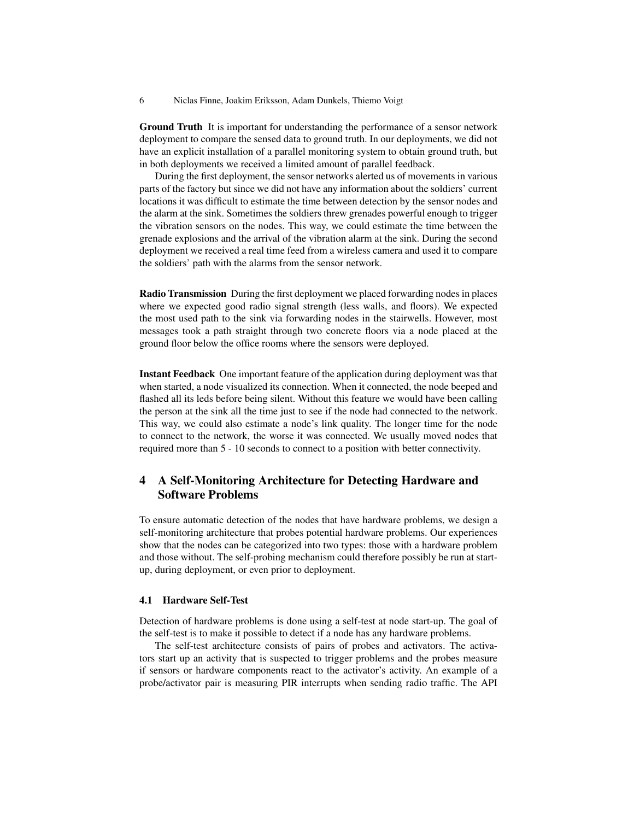Ground Truth It is important for understanding the performance of a sensor network deployment to compare the sensed data to ground truth. In our deployments, we did not have an explicit installation of a parallel monitoring system to obtain ground truth, but in both deployments we received a limited amount of parallel feedback.

During the first deployment, the sensor networks alerted us of movements in various parts of the factory but since we did not have any information about the soldiers' current locations it was difficult to estimate the time between detection by the sensor nodes and the alarm at the sink. Sometimes the soldiers threw grenades powerful enough to trigger the vibration sensors on the nodes. This way, we could estimate the time between the grenade explosions and the arrival of the vibration alarm at the sink. During the second deployment we received a real time feed from a wireless camera and used it to compare the soldiers' path with the alarms from the sensor network.

Radio Transmission During the first deployment we placed forwarding nodes in places where we expected good radio signal strength (less walls, and floors). We expected the most used path to the sink via forwarding nodes in the stairwells. However, most messages took a path straight through two concrete floors via a node placed at the ground floor below the office rooms where the sensors were deployed.

Instant Feedback One important feature of the application during deployment was that when started, a node visualized its connection. When it connected, the node beeped and flashed all its leds before being silent. Without this feature we would have been calling the person at the sink all the time just to see if the node had connected to the network. This way, we could also estimate a node's link quality. The longer time for the node to connect to the network, the worse it was connected. We usually moved nodes that required more than 5 - 10 seconds to connect to a position with better connectivity.

# 4 A Self-Monitoring Architecture for Detecting Hardware and Software Problems

To ensure automatic detection of the nodes that have hardware problems, we design a self-monitoring architecture that probes potential hardware problems. Our experiences show that the nodes can be categorized into two types: those with a hardware problem and those without. The self-probing mechanism could therefore possibly be run at startup, during deployment, or even prior to deployment.

#### 4.1 Hardware Self-Test

Detection of hardware problems is done using a self-test at node start-up. The goal of the self-test is to make it possible to detect if a node has any hardware problems.

The self-test architecture consists of pairs of probes and activators. The activators start up an activity that is suspected to trigger problems and the probes measure if sensors or hardware components react to the activator's activity. An example of a probe/activator pair is measuring PIR interrupts when sending radio traffic. The API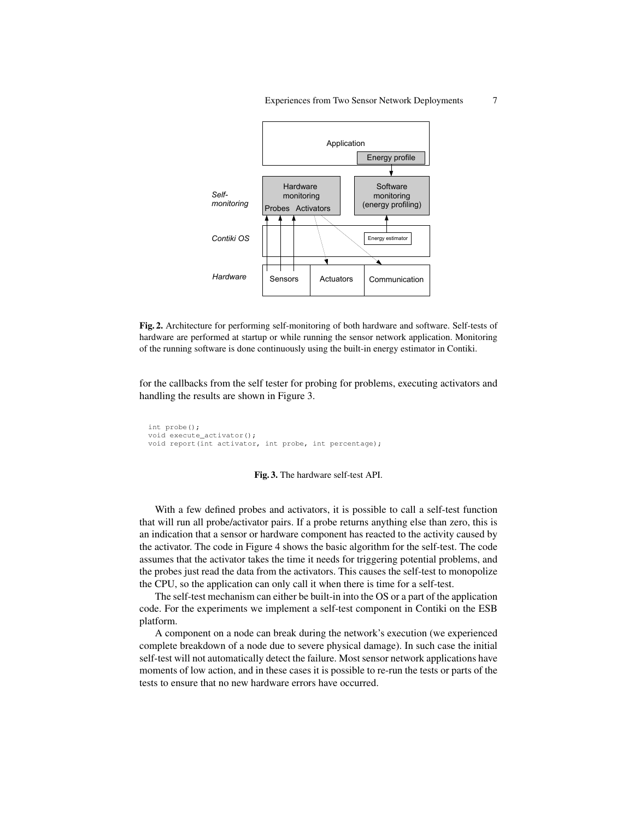

Fig. 2. Architecture for performing self-monitoring of both hardware and software. Self-tests of hardware are performed at startup or while running the sensor network application. Monitoring of the running software is done continuously using the built-in energy estimator in Contiki.

for the callbacks from the self tester for probing for problems, executing activators and handling the results are shown in Figure 3.

```
int probe();
void execute activator();
void report(int activator, int probe, int percentage);
```
#### Fig. 3. The hardware self-test API.

With a few defined probes and activators, it is possible to call a self-test function that will run all probe/activator pairs. If a probe returns anything else than zero, this is an indication that a sensor or hardware component has reacted to the activity caused by the activator. The code in Figure 4 shows the basic algorithm for the self-test. The code assumes that the activator takes the time it needs for triggering potential problems, and the probes just read the data from the activators. This causes the self-test to monopolize the CPU, so the application can only call it when there is time for a self-test.

The self-test mechanism can either be built-in into the OS or a part of the application code. For the experiments we implement a self-test component in Contiki on the ESB platform.

A component on a node can break during the network's execution (we experienced complete breakdown of a node due to severe physical damage). In such case the initial self-test will not automatically detect the failure. Most sensor network applications have moments of low action, and in these cases it is possible to re-run the tests or parts of the tests to ensure that no new hardware errors have occurred.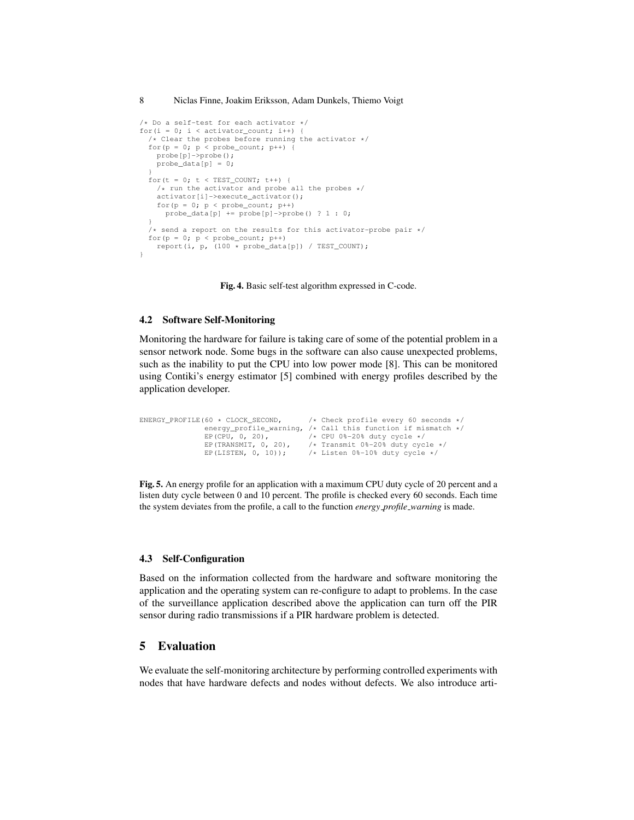#### 8 Niclas Finne, Joakim Eriksson, Adam Dunkels, Thiemo Voigt

```
/* Do a self-test for each activator */
for(i = 0; i < activator_count; i++) {
  /* Clear the probes before running the activator */for (p = 0; p < p probe_count; p++) {
   probe[p]->probe();
   probe_data[p] = 0;
  }
  for(t = 0; t < TEST_COUNT; t++) {
   /* run the activator and probe all the probes */activator[i]->execute_activator();
   for(p = 0; p < probe_count; p++)
     probe_data[p] += probe[p]->probe() ? 1 : 0;
  }
  /* send a report on the results for this activator-probe pair */for(p = 0; p < probe_count; p++)
   report(i, p, (100 * probe_data[p]) / TEST_COUNT);
}
```
Fig. 4. Basic self-test algorithm expressed in C-code.

#### 4.2 Software Self-Monitoring

Monitoring the hardware for failure is taking care of some of the potential problem in a sensor network node. Some bugs in the software can also cause unexpected problems, such as the inability to put the CPU into low power mode [8]. This can be monitored using Contiki's energy estimator [5] combined with energy profiles described by the application developer.

```
ENERGY_PROFILE(60 * CLOCK_SECOND, /* Check profile every 60 seconds */
                 energy_profile_warning, /* Call this function if mismatch */
                 EP(CPU, 0, 20), /* CPU 0%-20% duty cycle */
EP(TRANSMIT, 0, 20), /* Transmit 0%-20% duty cycle */
                EP(LISTEN, 0, 10)); /* Listen 0 %-10% duty cycle */
```
Fig. 5. An energy profile for an application with a maximum CPU duty cycle of 20 percent and a listen duty cycle between 0 and 10 percent. The profile is checked every 60 seconds. Each time the system deviates from the profile, a call to the function *energy profile warning* is made.

### 4.3 Self-Configuration

Based on the information collected from the hardware and software monitoring the application and the operating system can re-configure to adapt to problems. In the case of the surveillance application described above the application can turn off the PIR sensor during radio transmissions if a PIR hardware problem is detected.

### 5 Evaluation

We evaluate the self-monitoring architecture by performing controlled experiments with nodes that have hardware defects and nodes without defects. We also introduce arti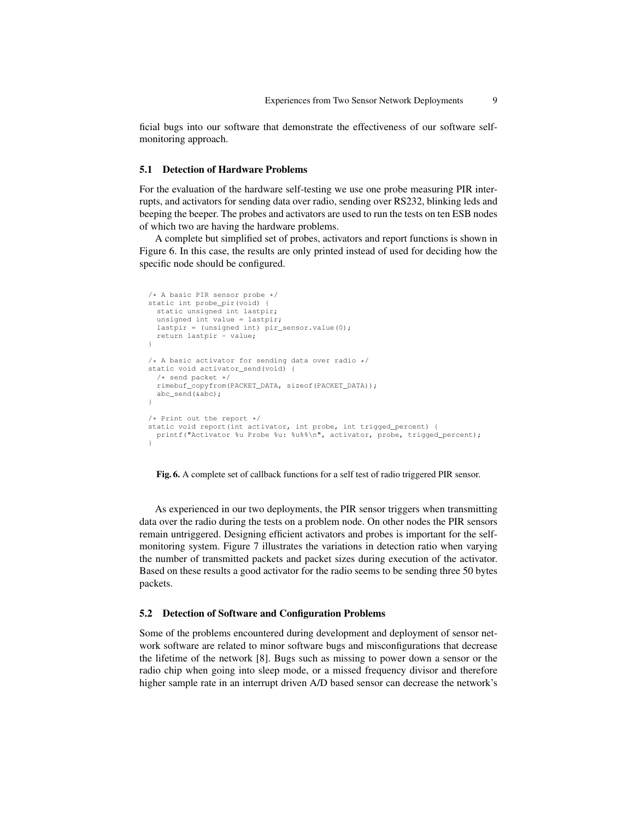ficial bugs into our software that demonstrate the effectiveness of our software selfmonitoring approach.

#### 5.1 Detection of Hardware Problems

For the evaluation of the hardware self-testing we use one probe measuring PIR interrupts, and activators for sending data over radio, sending over RS232, blinking leds and beeping the beeper. The probes and activators are used to run the tests on ten ESB nodes of which two are having the hardware problems.

A complete but simplified set of probes, activators and report functions is shown in Figure 6. In this case, the results are only printed instead of used for deciding how the specific node should be configured.

```
/* A basic PIR sensor probe */
static int probe_pir(void) {
  static unsigned int lastpir;
  unsigned int value = lastpir;
  lastpir = (unsigned int) pir_sensor.value(0);
 return lastpir - value;
}
/* A basic activator for sending data over radio */
static void activator_send(void) {
  /* send packet */rimebuf_copyfrom(PACKET_DATA, sizeof(PACKET_DATA));
 abc_send(&abc);
}
/* Print out the report */
static void report(int activator, int probe, int trigged_percent) {
 printf("Activator %u Probe %u: %u%%\n", activator, probe, trigged_percent);
}
```
Fig. 6. A complete set of callback functions for a self test of radio triggered PIR sensor.

As experienced in our two deployments, the PIR sensor triggers when transmitting data over the radio during the tests on a problem node. On other nodes the PIR sensors remain untriggered. Designing efficient activators and probes is important for the selfmonitoring system. Figure 7 illustrates the variations in detection ratio when varying the number of transmitted packets and packet sizes during execution of the activator. Based on these results a good activator for the radio seems to be sending three 50 bytes packets.

#### 5.2 Detection of Software and Configuration Problems

Some of the problems encountered during development and deployment of sensor network software are related to minor software bugs and misconfigurations that decrease the lifetime of the network [8]. Bugs such as missing to power down a sensor or the radio chip when going into sleep mode, or a missed frequency divisor and therefore higher sample rate in an interrupt driven A/D based sensor can decrease the network's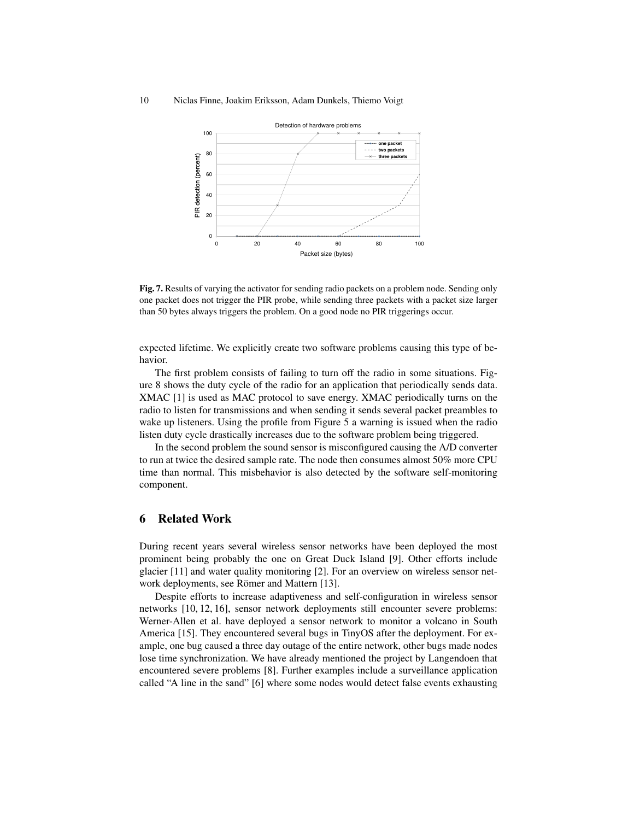

Fig. 7. Results of varying the activator for sending radio packets on a problem node. Sending only one packet does not trigger the PIR probe, while sending three packets with a packet size larger than 50 bytes always triggers the problem. On a good node no PIR triggerings occur.

expected lifetime. We explicitly create two software problems causing this type of behavior.

The first problem consists of failing to turn off the radio in some situations. Figure 8 shows the duty cycle of the radio for an application that periodically sends data. XMAC [1] is used as MAC protocol to save energy. XMAC periodically turns on the radio to listen for transmissions and when sending it sends several packet preambles to wake up listeners. Using the profile from Figure 5 a warning is issued when the radio listen duty cycle drastically increases due to the software problem being triggered.

In the second problem the sound sensor is misconfigured causing the A/D converter to run at twice the desired sample rate. The node then consumes almost 50% more CPU time than normal. This misbehavior is also detected by the software self-monitoring component.

### 6 Related Work

During recent years several wireless sensor networks have been deployed the most prominent being probably the one on Great Duck Island [9]. Other efforts include glacier [11] and water quality monitoring [2]. For an overview on wireless sensor network deployments, see Römer and Mattern [13].

Despite efforts to increase adaptiveness and self-configuration in wireless sensor networks [10, 12, 16], sensor network deployments still encounter severe problems: Werner-Allen et al. have deployed a sensor network to monitor a volcano in South America [15]. They encountered several bugs in TinyOS after the deployment. For example, one bug caused a three day outage of the entire network, other bugs made nodes lose time synchronization. We have already mentioned the project by Langendoen that encountered severe problems [8]. Further examples include a surveillance application called "A line in the sand" [6] where some nodes would detect false events exhausting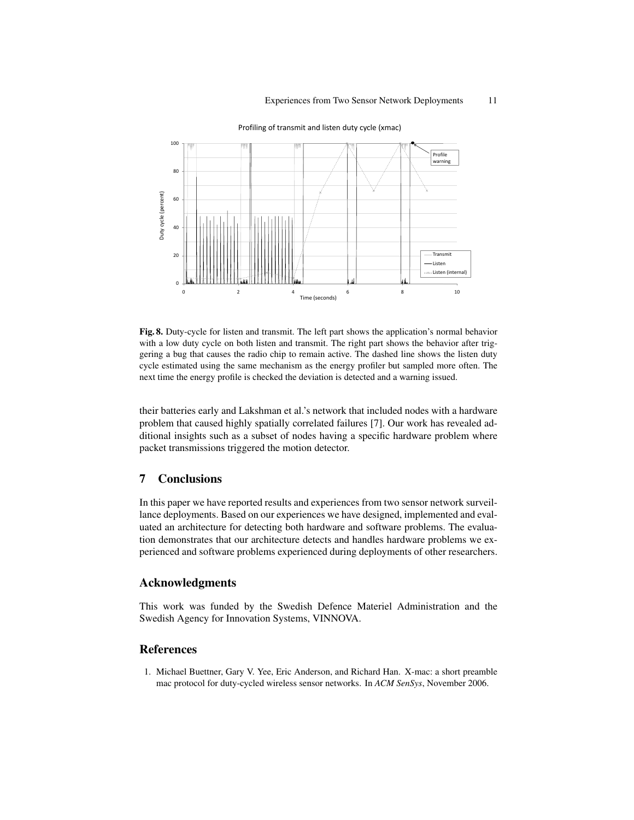

Profiling of transmit and listen duty cycle (xmac)

Fig. 8. Duty-cycle for listen and transmit. The left part shows the application's normal behavior with a low duty cycle on both listen and transmit. The right part shows the behavior after triggering a bug that causes the radio chip to remain active. The dashed line shows the listen duty cycle estimated using the same mechanism as the energy profiler but sampled more often. The next time the energy profile is checked the deviation is detected and a warning issued.

their batteries early and Lakshman et al.'s network that included nodes with a hardware problem that caused highly spatially correlated failures [7]. Our work has revealed additional insights such as a subset of nodes having a specific hardware problem where packet transmissions triggered the motion detector.

# 7 Conclusions

In this paper we have reported results and experiences from two sensor network surveillance deployments. Based on our experiences we have designed, implemented and evaluated an architecture for detecting both hardware and software problems. The evaluation demonstrates that our architecture detects and handles hardware problems we experienced and software problems experienced during deployments of other researchers.

### Acknowledgments

This work was funded by the Swedish Defence Materiel Administration and the Swedish Agency for Innovation Systems, VINNOVA.

# References

1. Michael Buettner, Gary V. Yee, Eric Anderson, and Richard Han. X-mac: a short preamble mac protocol for duty-cycled wireless sensor networks. In *ACM SenSys*, November 2006.